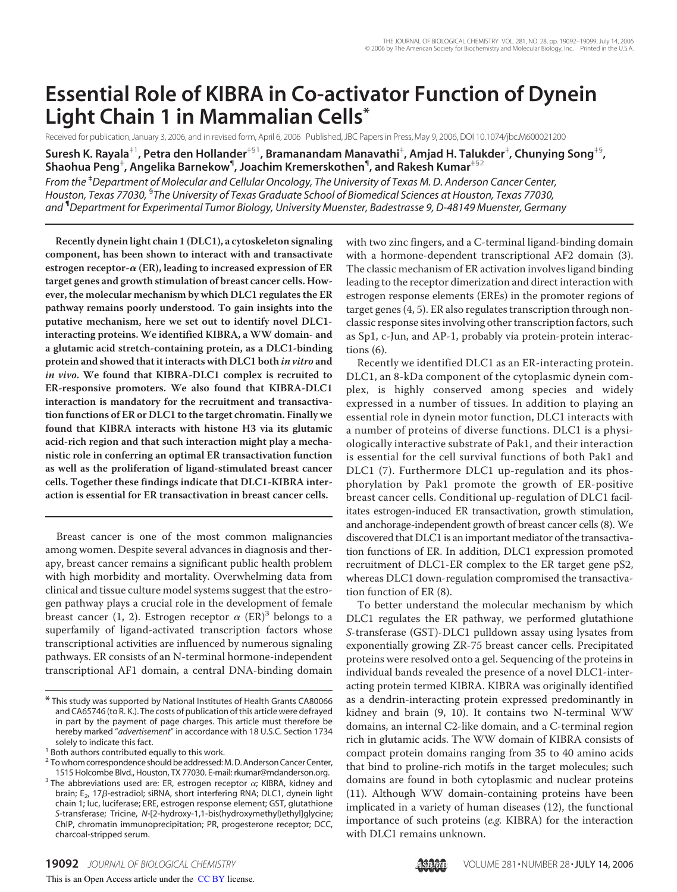# **Essential Role of KIBRA in Co-activator Function of Dynein Light Chain 1 in Mammalian Cells\***

Received for publication, January 3, 2006, and in revised form, April 6, 2006 Published, JBC Papers in Press, May 9, 2006, DOI 10.1074/jbc.M600021200

**Suresh K. Rayala**‡1**, Petra den Hollander**‡§1**, Bramanandam Manavathi**‡ **, Amjad H. Talukder**‡ **, Chunying Song**‡§ **, Shaohua Peng**‡ **, Angelika Barnekow**¶ **, Joachim Kremerskothen**¶ **, and Rakesh Kumar**‡§2

*From the* ‡*Department of Molecular and Cellular Oncology, The University of Texas M. D. Anderson Cancer Center, Houston, Texas 77030,* § *The University of Texas Graduate School of Biomedical Sciences at Houston, Texas 77030, and* ¶*Department for Experimental Tumor Biology, University Muenster, Badestrasse 9, D-48149 Muenster, Germany*

**Recently dynein light chain 1 (DLC1), a cytoskeleton signaling component, has been shown to interact with and transactivate estrogen receptor- (ER), leading to increased expression of ER target genes and growth stimulation of breast cancer cells. However, the molecular mechanism by which DLC1 regulates the ER pathway remains poorly understood. To gain insights into the putative mechanism, here we set out to identify novel DLC1 interacting proteins. We identified KIBRA, a WW domain- and a glutamic acid stretch-containing protein, as a DLC1-binding protein and showed that it interacts with DLC1 both in vitro and in vivo. We found that KIBRA-DLC1 complex is recruited to ER-responsive promoters. We also found that KIBRA-DLC1 interaction is mandatory for the recruitment and transactivation functions of ER or DLC1 to the target chromatin. Finally we found that KIBRA interacts with histone H3 via its glutamic acid-rich region and that such interaction might play a mechanistic role in conferring an optimal ER transactivation function as well as the proliferation of ligand-stimulated breast cancer cells. Together these findings indicate that DLC1-KIBRA interaction is essential for ER transactivation in breast cancer cells.**

Breast cancer is one of the most common malignancies among women. Despite several advances in diagnosis and therapy, breast cancer remains a significant public health problem with high morbidity and mortality. Overwhelming data from clinical and tissue culture model systems suggest that the estrogen pathway plays a crucial role in the development of female breast cancer (1, 2). Estrogen receptor  $\alpha$  (ER)<sup>3</sup> belongs to a superfamily of ligand-activated transcription factors whose transcriptional activities are influenced by numerous signaling pathways. ER consists of an N-terminal hormone-independent transcriptional AF1 domain, a central DNA-binding domain

with two zinc fingers, and a C-terminal ligand-binding domain with a hormone-dependent transcriptional AF2 domain (3). The classic mechanism of ER activation involves ligand binding leading to the receptor dimerization and direct interaction with estrogen response elements (EREs) in the promoter regions of target genes (4, 5). ER also regulates transcription through nonclassic response sites involving other transcription factors, such as Sp1, c-Jun, and AP-1, probably via protein-protein interactions (6).

Recently we identified DLC1 as an ER-interacting protein. DLC1, an 8-kDa component of the cytoplasmic dynein complex, is highly conserved among species and widely expressed in a number of tissues. In addition to playing an essential role in dynein motor function, DLC1 interacts with a number of proteins of diverse functions. DLC1 is a physiologically interactive substrate of Pak1, and their interaction is essential for the cell survival functions of both Pak1 and DLC1 (7). Furthermore DLC1 up-regulation and its phosphorylation by Pak1 promote the growth of ER-positive breast cancer cells. Conditional up-regulation of DLC1 facilitates estrogen-induced ER transactivation, growth stimulation, and anchorage-independent growth of breast cancer cells (8). We discovered that DLC1 is an important mediator of the transactivation functions of ER. In addition, DLC1 expression promoted recruitment of DLC1-ER complex to the ER target gene pS2, whereas DLC1 down-regulation compromised the transactivation function of ER (8).

To better understand the molecular mechanism by which DLC1 regulates the ER pathway, we performed glutathione S-transferase (GST)-DLC1 pulldown assay using lysates from exponentially growing ZR-75 breast cancer cells. Precipitated proteins were resolved onto a gel. Sequencing of the proteins in individual bands revealed the presence of a novel DLC1-interacting protein termed KIBRA. KIBRA was originally identified as a dendrin-interacting protein expressed predominantly in kidney and brain (9, 10). It contains two N-terminal WW domains, an internal C2-like domain, and a C-terminal region rich in glutamic acids. The WW domain of KIBRA consists of compact protein domains ranging from 35 to 40 amino acids that bind to proline-rich motifs in the target molecules; such domains are found in both cytoplasmic and nuclear proteins (11). Although WW domain-containing proteins have been implicated in a variety of human diseases (12), the functional importance of such proteins (e.g. KIBRA) for the interaction with DLC1 remains unknown.

<sup>\*</sup> This study was supported by National Institutes of Health Grants CA80066 and CA65746 (to R. K.). The costs of publication of this article were defrayed in part by the payment of page charges. This article must therefore be hereby marked "*advertisement*" in accordance with 18 U.S.C. Section 1734 solely to indicate this fact.

<sup>&</sup>lt;sup>1</sup> Both authors contributed equally to this work.

<sup>&</sup>lt;sup>2</sup> To whom correspondence should be addressed: M. D. Anderson Cancer Center, 1515 Holcombe Blvd., Houston, TX 77030. E-mail: rkumar@mdanderson.org.

<sup>&</sup>lt;sup>3</sup> The abbreviations used are: ER, estrogen receptor  $\alpha$ ; KIBRA, kidney and brain; E<sub>2</sub>, 17β-estradiol; siRNA, short interfering RNA; DLC1, dynein light chain 1; luc, luciferase; ERE, estrogen response element; GST, glutathione *S*-transferase; Tricine, *N*-[2-hydroxy-1,1-bis(hydroxymethyl)ethyl]glycine; ChIP, chromatin immunoprecipitation; PR, progesterone receptor; DCC, charcoal-stripped serum.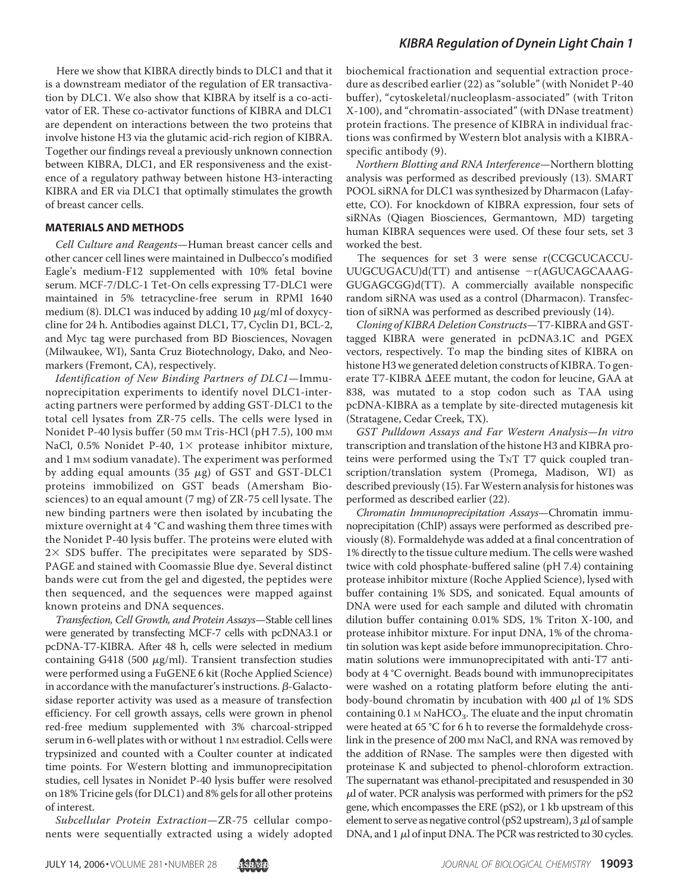Here we show that KIBRA directly binds to DLC1 and that it is a downstream mediator of the regulation of ER transactivation by DLC1. We also show that KIBRA by itself is a co-activator of ER. These co-activator functions of KIBRA and DLC1 are dependent on interactions between the two proteins that involve histone H3 via the glutamic acid-rich region of KIBRA. Together our findings reveal a previously unknown connection between KIBRA, DLC1, and ER responsiveness and the existence of a regulatory pathway between histone H3-interacting KIBRA and ER via DLC1 that optimally stimulates the growth of breast cancer cells.

#### **MATERIALS AND METHODS**

Cell Culture and Reagents—Human breast cancer cells and other cancer cell lines were maintained in Dulbecco's modified Eagle's medium-F12 supplemented with 10% fetal bovine serum. MCF-7/DLC-1 Tet-On cells expressing T7-DLC1 were maintained in 5% tetracycline-free serum in RPMI 1640 medium (8). DLC1 was induced by adding 10  $\mu$ g/ml of doxycycline for 24 h. Antibodies against DLC1, T7, Cyclin D1, BCL-2, and Myc tag were purchased from BD Biosciences, Novagen (Milwaukee, WI), Santa Cruz Biotechnology, Dako, and Neomarkers (Fremont, CA), respectively.

Identification of New Binding Partners of DLC1—Immunoprecipitation experiments to identify novel DLC1-interacting partners were performed by adding GST-DLC1 to the total cell lysates from ZR-75 cells. The cells were lysed in Nonidet P-40 lysis buffer (50 mm Tris-HCl (pH 7.5), 100 mm NaCl, 0.5% Nonidet P-40,  $1 \times$  protease inhibitor mixture, and 1 mm sodium vanadate). The experiment was performed by adding equal amounts  $(35 \mu g)$  of GST and GST-DLC1 proteins immobilized on GST beads (Amersham Biosciences) to an equal amount (7 mg) of ZR-75 cell lysate. The new binding partners were then isolated by incubating the mixture overnight at 4 °C and washing them three times with the Nonidet P-40 lysis buffer. The proteins were eluted with  $2 \times$  SDS buffer. The precipitates were separated by SDS-PAGE and stained with Coomassie Blue dye. Several distinct bands were cut from the gel and digested, the peptides were then sequenced, and the sequences were mapped against known proteins and DNA sequences.

Transfection, Cell Growth, and Protein Assays—Stable cell lines were generated by transfecting MCF-7 cells with pcDNA3.1 or pcDNA-T7-KIBRA. After 48 h, cells were selected in medium containing G418 (500  $\mu$ g/ml). Transient transfection studies were performed using a FuGENE 6 kit (Roche Applied Science) in accordance with the manufacturer's instructions.  $\beta$ -Galactosidase reporter activity was used as a measure of transfection efficiency. For cell growth assays, cells were grown in phenol red-free medium supplemented with 3% charcoal-stripped serum in 6-well plates with or without 1 nm estradiol. Cells were trypsinized and counted with a Coulter counter at indicated time points. For Western blotting and immunoprecipitation studies, cell lysates in Nonidet P-40 lysis buffer were resolved on 18% Tricine gels (for DLC1) and 8% gels for all other proteins of interest.

Subcellular Protein Extraction—ZR-75 cellular components were sequentially extracted using a widely adopted

### *KIBRA Regulation of Dynein Light Chain 1*

biochemical fractionation and sequential extraction procedure as described earlier (22) as "soluble" (with Nonidet P-40 buffer), "cytoskeletal/nucleoplasm-associated" (with Triton X-100), and "chromatin-associated" (with DNase treatment) protein fractions. The presence of KIBRA in individual fractions was confirmed by Western blot analysis with a KIBRAspecific antibody (9).

Northern Blotting and RNA Interference—Northern blotting analysis was performed as described previously (13). SMART POOL siRNA for DLC1 was synthesized by Dharmacon (Lafayette, CO). For knockdown of KIBRA expression, four sets of siRNAs (Qiagen Biosciences, Germantown, MD) targeting human KIBRA sequences were used. Of these four sets, set 3 worked the best.

The sequences for set 3 were sense r(CCGCUCACCU-UUGCUGACU)d(TT) and antisense - r(AGUCAGCAAAG-GUGAGCGG)d(TT). A commercially available nonspecific random siRNA was used as a control (Dharmacon). Transfection of siRNA was performed as described previously (14).

Cloning of KIBRA Deletion Constructs—T7-KIBRA and GSTtagged KIBRA were generated in pcDNA3.1C and PGEX vectors, respectively. To map the binding sites of KIBRA on histone H3 we generated deletion constructs of KIBRA. To generate T7-KIBRA  $\Delta$ EEE mutant, the codon for leucine, GAA at 838, was mutated to a stop codon such as TAA using pcDNA-KIBRA as a template by site-directed mutagenesis kit (Stratagene, Cedar Creek, TX).

GST Pulldown Assays and Far Western Analysis—In vitro transcription and translation of the histone H3 and KIBRA proteins were performed using the TNT T7 quick coupled transcription/translation system (Promega, Madison, WI) as described previously (15). Far Western analysis for histones was performed as described earlier (22).

Chromatin Immunoprecipitation Assays—Chromatin immunoprecipitation (ChIP) assays were performed as described previously (8). Formaldehyde was added at a final concentration of 1% directly to the tissue culture medium. The cells were washed twice with cold phosphate-buffered saline (pH 7.4) containing protease inhibitor mixture (Roche Applied Science), lysed with buffer containing 1% SDS, and sonicated. Equal amounts of DNA were used for each sample and diluted with chromatin dilution buffer containing 0.01% SDS, 1% Triton X-100, and protease inhibitor mixture. For input DNA, 1% of the chromatin solution was kept aside before immunoprecipitation. Chromatin solutions were immunoprecipitated with anti-T7 antibody at 4 °C overnight. Beads bound with immunoprecipitates were washed on a rotating platform before eluting the antibody-bound chromatin by incubation with 400  $\mu$ l of 1% SDS containing 0.1  $\text{M}\text{NaHCO}_3$ . The eluate and the input chromatin were heated at 65 °C for 6 h to reverse the formaldehyde crosslink in the presence of 200 mm NaCl, and RNA was removed by the addition of RNase. The samples were then digested with proteinase K and subjected to phenol-chloroform extraction. The supernatant was ethanol-precipitated and resuspended in 30  $\mu$ l of water. PCR analysis was performed with primers for the pS2 gene, which encompasses the ERE (pS2), or 1 kb upstream of this element to serve as negative control (pS2 upstream),  $3 \mu$ l of sample DNA, and  $1 \mu$ l of input DNA. The PCR was restricted to 30 cycles.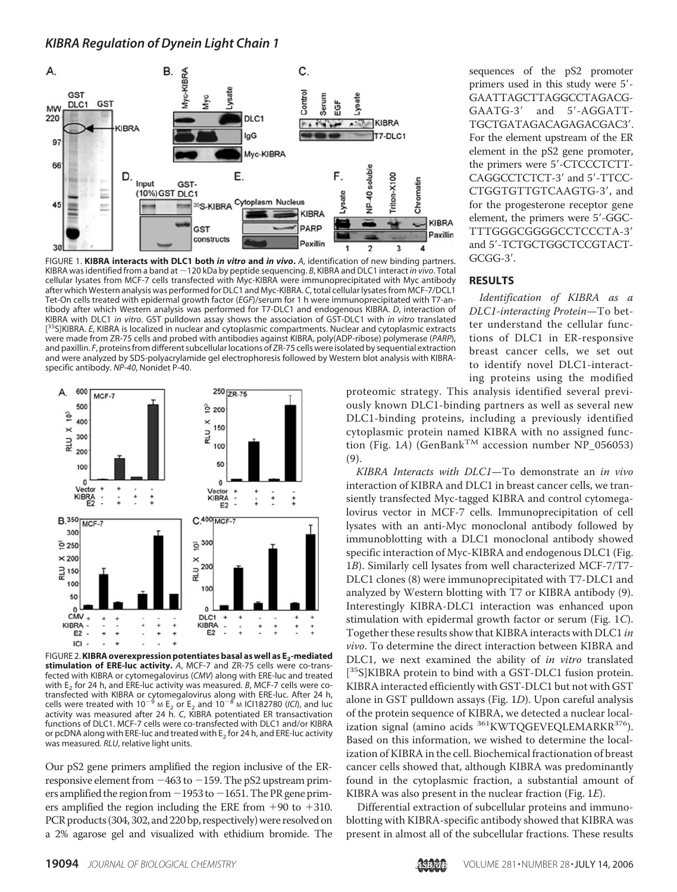#### *KIBRA Regulation of Dynein Light Chain 1*



FIGURE 1. **KIBRA interacts with DLC1 both** *in vitro* **and** *in vivo***.** *A*, identification of new binding partners. KIBRA was identified from a band at ~120 kDa by peptide sequencing. *B*, KIBRA and DLC1 interact *in vivo*. Total cellular lysates from MCF-7 cells transfected with Myc-KIBRA were immunoprecipitated with Myc antibody after which Western analysis was performed for DLC1 and Myc-KIBRA. *C*, total cellular lysates from MCF-7/DCL1 Tet-On cells treated with epidermal growth factor (*EGF*)/serum for 1 h were immunoprecipitated with T7-antibody after which Western analysis was performed for T7-DLC1 and endogenous KIBRA. *D*, interaction of KIBRA with DLC1 *in vitro*. GST pulldown assay shows the association of GST-DLC1 with *in vitro* translated [ <sup>35</sup>S]KIBRA. *E*, KIBRA is localized in nuclear and cytoplasmic compartments. Nuclear and cytoplasmic extracts were made from ZR-75 cells and probed with antibodies against KIBRA, poly(ADP-ribose) polymerase (*PARP*), and paxillin. *F*, proteins from different subcellular locations of ZR-75 cells were isolated by sequential extraction and were analyzed by SDS-polyacrylamide gel electrophoresis followed by Western blot analysis with KIBRAspecific antibody. *NP-40*, Nonidet P-40.



FIGURE 2.**KIBRA overexpression potentiates basal as well as E<sup>2</sup> -mediated stimulation of ERE-luc activity.** *A*, MCF-7 and ZR-75 cells were co-transfected with KIBRA or cytomegalovirus (*CMV*) along with ERE-luc and treated with E<sub>2</sub> for 24 h, and ERE-luc activity was measured. *B*, MCF-7 cells were cotransfected with KIBRA or cytomegalovirus along with ERE-luc. After 24 h,<br>cells were treated with 10<sup>—9</sup> м E<sub>2</sub> or E<sub>2</sub> and 10<sup>—8</sup> м ICl182780 (*ICI*), and luc activity was measured after 24 h. *C*, KIBRA potentiated ER transactivation functions of DLC1. MCF-7 cells were co-transfected with DLC1 and/or KIBRA or pcDNA along with ERE-luc and treated with  $\mathsf{E}_2$  for 24 h, and ERE-luc activity was measured. *RLU*, relative light units.

Our pS2 gene primers amplified the region inclusive of the ERresponsive element from  $-463$  to  $-159$ . The pS2 upstream primers amplified the region from -1953 to -1651. The PR gene primers amplified the region including the ERE from  $+90$  to  $+310$ . PCR products (304, 302, and 220 bp, respectively) were resolved on a 2% agarose gel and visualized with ethidium bromide. The sequences of the pS2 promoter primers used in this study were 5'-GAATTAGCTTAGGCCTAGACG-GAATG-3' and 5'-AGGATT-TGCTGATAGACAGAGACGAC3. For the element upstream of the ER element in the pS2 gene promoter, the primers were 5'-CTCCCTCTT-CAGGCCTCTCT-3' and 5'-TTCC-CTGGTGTTGTCAAGTG-3, and for the progesterone receptor gene element, the primers were 5'-GGC-TTTGGGCGGGGCCTCCCTA-3 and 5'-TCTGCTGGCTCCGTACT-GCGG-3.

#### **RESULTS**

Identification of KIBRA as a DLC1-interacting Protein—To better understand the cellular functions of DLC1 in ER-responsive breast cancer cells, we set out to identify novel DLC1-interacting proteins using the modified

proteomic strategy. This analysis identified several previously known DLC1-binding partners as well as several new DLC1-binding proteins, including a previously identified cytoplasmic protein named KIBRA with no assigned function (Fig. 1A) (GenBank<sup>TM</sup> accession number NP\_056053) (9).

KIBRA Interacts with DLC1—To demonstrate an in vivo interaction of KIBRA and DLC1 in breast cancer cells, we transiently transfected Myc-tagged KIBRA and control cytomegalovirus vector in MCF-7 cells. Immunoprecipitation of cell lysates with an anti-Myc monoclonal antibody followed by immunoblotting with a DLC1 monoclonal antibody showed specific interaction of Myc-KIBRA and endogenous DLC1 (Fig. 1B). Similarly cell lysates from well characterized MCF-7/T7- DLC1 clones (8) were immunoprecipitated with T7-DLC1 and analyzed by Western blotting with T7 or KIBRA antibody (9). Interestingly KIBRA-DLC1 interaction was enhanced upon stimulation with epidermal growth factor or serum (Fig. 1C). Together these results show that KIBRA interacts with DLC1 in vivo. To determine the direct interaction between KIBRA and DLC1, we next examined the ability of in vitro translated [<sup>35</sup>S]KIBRA protein to bind with a GST-DLC1 fusion protein. KIBRA interacted efficiently with GST-DLC1 but not with GST alone in GST pulldown assays (Fig. 1D). Upon careful analysis of the protein sequence of KIBRA, we detected a nuclear localization signal (amino acids <sup>361</sup>KWTQGEVEQLEMARKR<sup>376</sup>). Based on this information, we wished to determine the localization of KIBRA in the cell. Biochemical fractionation of breast cancer cells showed that, although KIBRA was predominantly found in the cytoplasmic fraction, a substantial amount of KIBRA was also present in the nuclear fraction (Fig. 1E).

Differential extraction of subcellular proteins and immunoblotting with KIBRA-specific antibody showed that KIBRA was present in almost all of the subcellular fractions. These results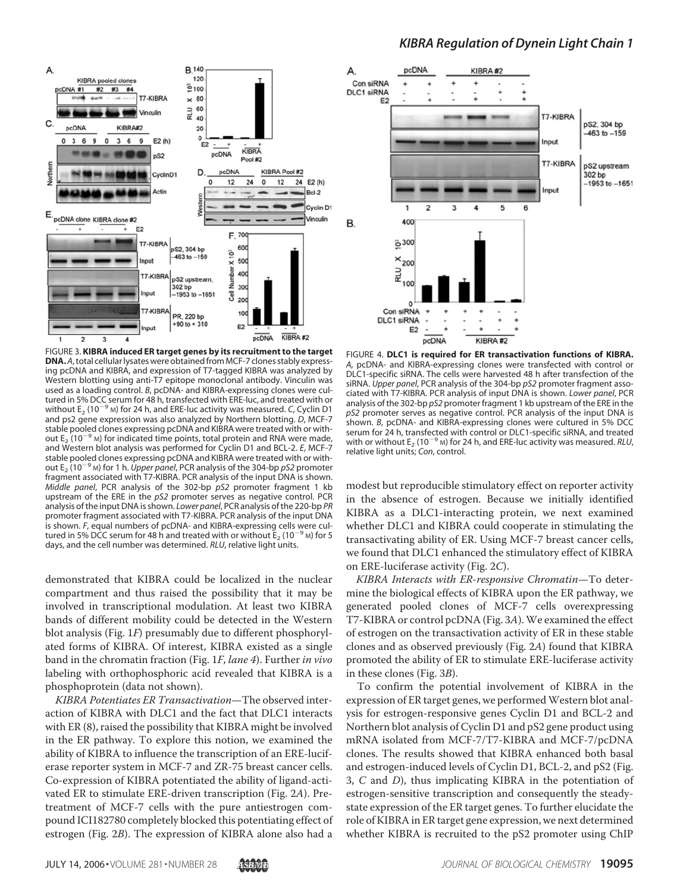



Α

C

pcDNA #1

pcDNA

 $\mathbf 0$  $\overline{3}$ 6  $\mathbf{9}$  $\mathbf 0$ 

 $#2$ 

FIGURE 3. **KIBRA induced ER target genes by its recruitment to the target DNA.***A*, total cellular lysates were obtained from MCF-7 clones stably expressing pcDNA and KIBRA, and expression of T7-tagged KIBRA was analyzed by Western blotting using anti-T7 epitope monoclonal antibody. Vinculin was used as a loading control. *B*, pcDNA- and KIBRA-expressing clones were cultured in 5% DCC serum for 48 h, transfected with ERE-luc, and treated with or without  $E_2$  (10<sup> $-9$ </sup> M) for 24 h, and ERE-luc activity was measured. *C*, Cyclin D1 and ps2 gene expression was also analyzed by Northern blotting. *D*, MCF-7 stable pooled clones expressing pcDNA and KIBRA were treated with or without  $E_2$  ( $10^{-9}$  M) for indicated time points, total protein and RNA were made, and Western blot analysis was performed for Cyclin D1 and BCL-2. *E*, MCF-7 stable pooled clones expressing pcDNA and KIBRA were treated with or without E<sup>2</sup> (10-<sup>9</sup> <sup>M</sup>) for 1 h. *Upper panel*, PCR analysis of the 304-bp *pS2* promoter fragment associated with T7-KIBRA. PCR analysis of the input DNA is shown. *Middle panel*, PCR analysis of the 302-bp *pS2* promoter fragment 1 kb upstream of the ERE in the *pS2* promoter serves as negative control. PCR analysis of the input DNA is shown. *Lower panel*, PCR analysis of the 220-bp *PR* promoter fragment associated with T7-KIBRA. PCR analysis of the input DNA is shown. *F*, equal numbers of pcDNA- and KIBRA-expressing cells were cultured in 5% DCC serum for 48 h and treated with or without  $E_2$  (10<sup>-9</sup> M) for 5 days, and the cell number was determined. *RLU*, relative light units.

demonstrated that KIBRA could be localized in the nuclear compartment and thus raised the possibility that it may be involved in transcriptional modulation. At least two KIBRA bands of different mobility could be detected in the Western blot analysis (Fig. 1F) presumably due to different phosphorylated forms of KIBRA. Of interest, KIBRA existed as a single band in the chromatin fraction (Fig. 1F, lane 4). Further in vivo labeling with orthophosphoric acid revealed that KIBRA is a phosphoprotein (data not shown).

KIBRA Potentiates ER Transactivation—The observed interaction of KIBRA with DLC1 and the fact that DLC1 interacts with ER (8), raised the possibility that KIBRA might be involved in the ER pathway. To explore this notion, we examined the ability of KIBRA to influence the transcription of an ERE-luciferase reporter system in MCF-7 and ZR-75 breast cancer cells. Co-expression of KIBRA potentiated the ability of ligand-activated ER to stimulate ERE-driven transcription (Fig. 2A). Pretreatment of MCF-7 cells with the pure antiestrogen compound ICI182780 completely blocked this potentiating effect of estrogen (Fig. 2B). The expression of KIBRA alone also had a



FIGURE 4. **DLC1 is required for ER transactivation functions of KIBRA.** *A*, pcDNA- and KIBRA-expressing clones were transfected with control or DLC1-specific siRNA. The cells were harvested 48 h after transfection of the siRNA. *Upper panel*, PCR analysis of the 304-bp *pS2* promoter fragment associated with T7-KIBRA. PCR analysis of input DNA is shown. *Lower panel*, PCR analysis of the 302-bp *pS2* promoter fragment 1 kb upstream of the ERE in the *pS2* promoter serves as negative control. PCR analysis of the input DNA is shown. *B*, pcDNA- and KIBRA-expressing clones were cultured in 5% DCC serum for 24 h, transfected with control or DLC1-specific siRNA, and treated with or without  $E_2$  (10<sup>-9</sup> M) for 24 h, and ERE-luc activity was measured.  $RLU$ , relative light units; *Con*, control.

modest but reproducible stimulatory effect on reporter activity in the absence of estrogen. Because we initially identified KIBRA as a DLC1-interacting protein, we next examined whether DLC1 and KIBRA could cooperate in stimulating the transactivating ability of ER. Using MCF-7 breast cancer cells, we found that DLC1 enhanced the stimulatory effect of KIBRA on ERE-luciferase activity (Fig. 2C).

KIBRA Interacts with ER-responsive Chromatin—To determine the biological effects of KIBRA upon the ER pathway, we generated pooled clones of MCF-7 cells overexpressing T7-KIBRA or control pcDNA (Fig. 3A).We examined the effect of estrogen on the transactivation activity of ER in these stable clones and as observed previously (Fig. 2A) found that KIBRA promoted the ability of ER to stimulate ERE-luciferase activity in these clones (Fig. 3B).

To confirm the potential involvement of KIBRA in the expression of ER target genes, we performed Western blot analysis for estrogen-responsive genes Cyclin D1 and BCL-2 and Northern blot analysis of Cyclin D1 and pS2 gene product using mRNA isolated from MCF-7/T7-KIBRA and MCF-7/pcDNA clones. The results showed that KIBRA enhanced both basal and estrogen-induced levels of Cyclin D1, BCL-2, and pS2 (Fig. 3, C and D), thus implicating KIBRA in the potentiation of estrogen-sensitive transcription and consequently the steadystate expression of the ER target genes. To further elucidate the role of KIBRA in ER target gene expression, we next determined whether KIBRA is recruited to the pS2 promoter using ChIP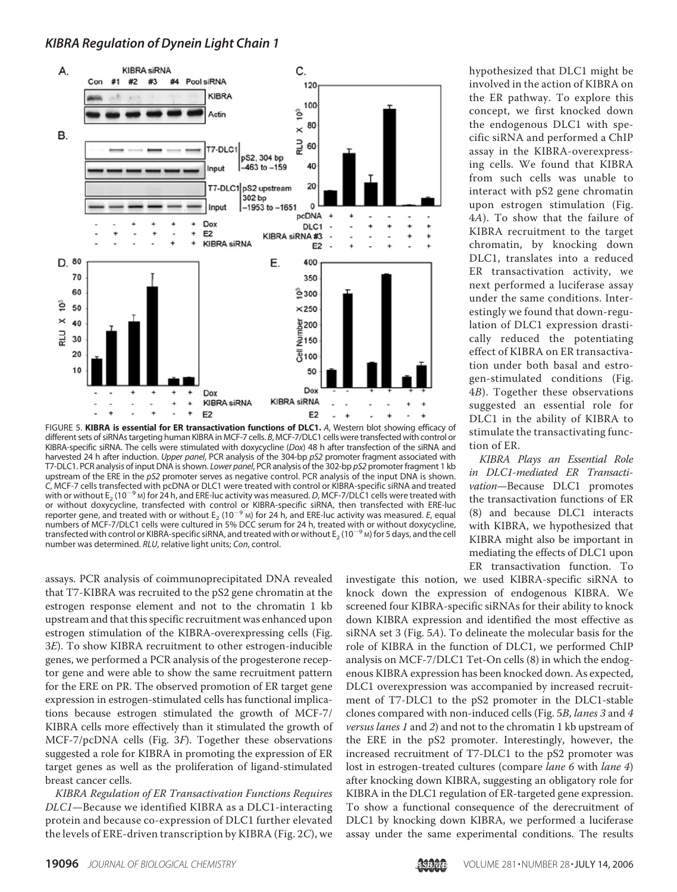

FIGURE 5. **KIBRA is essential for ER transactivation functions of DLC1.** *A*, Western blot showing efficacy of different sets of siRNAs targeting human KIBRA in MCF-7 cells. *B*, MCF-7/DLC1 cells were transfected with control or KIBRA-specific siRNA. The cells were stimulated with doxycycline (*Dox*) 48 h after transfection of the siRNA and harvested 24 h after induction. *Upper panel*, PCR analysis of the 304-bp *pS2* promoter fragment associated with T7-DLC1. PCR analysis of input DNA is shown. *Lower panel*, PCR analysis of the 302-bp *pS2* promoter fragment 1 kb upstream of the ERE in the *pS2* promoter serves as negative control. PCR analysis of the input DNA is shown. *C*, MCF-7 cells transfected with pcDNA or DLC1 were treated with control or KIBRA-specific siRNA and treated efficiency cells darified with pearl from BEC were readed with control of thom to pearle show that treated with or without E<sub>2</sub> (10<sup>-9</sup> M) for 24 h, and ERE-luc activity was measured. *D*, MCF-7/DLC1 cells were treated wit or without doxycycline, transfected with control or KIBRA-specific siRNA, then transfected with ERE-luc reporter gene, and treated with or without  $E_2$  (10<sup>-9</sup> M) for 24 h<sub>r</sub> and ERE-luc activity was measured. *E*, equal reporter gene, and treated with or without  $E_2$  (10<sup>-9</sup> M) for 24 h<sub>r</sub> and ERE-luc activity was measur numbers of MCF-7/DLC1 cells were cultured in 5% DCC serum for 24 h, treated with or without doxycycline, transfected with control or KIBRA-specific siRNA, and treated with or without E<sup>2</sup> (10-<sup>9</sup> <sup>M</sup>) for 5 days, and the cell number was determined. *RLU*, relative light units; *Con*, control.

assays. PCR analysis of coimmunoprecipitated DNA revealed that T7-KIBRA was recruited to the pS2 gene chromatin at the estrogen response element and not to the chromatin 1 kb upstream and that this specific recruitment was enhanced upon estrogen stimulation of the KIBRA-overexpressing cells (Fig. 3E). To show KIBRA recruitment to other estrogen-inducible genes, we performed a PCR analysis of the progesterone receptor gene and were able to show the same recruitment pattern for the ERE on PR. The observed promotion of ER target gene expression in estrogen-stimulated cells has functional implications because estrogen stimulated the growth of MCF-7/ KIBRA cells more effectively than it stimulated the growth of MCF-7/pcDNA cells (Fig. 3F). Together these observations suggested a role for KIBRA in promoting the expression of ER target genes as well as the proliferation of ligand-stimulated breast cancer cells.

KIBRA Regulation of ER Transactivation Functions Requires DLC1—Because we identified KIBRA as a DLC1-interacting protein and because co-expression of DLC1 further elevated the levels of ERE-driven transcription by KIBRA (Fig. 2C), we hypothesized that DLC1 might be involved in the action of KIBRA on the ER pathway. To explore this concept, we first knocked down the endogenous DLC1 with specific siRNA and performed a ChIP assay in the KIBRA-overexpressing cells. We found that KIBRA from such cells was unable to interact with pS2 gene chromatin upon estrogen stimulation (Fig. 4A). To show that the failure of KIBRA recruitment to the target chromatin, by knocking down DLC1, translates into a reduced ER transactivation activity, we next performed a luciferase assay under the same conditions. Interestingly we found that down-regulation of DLC1 expression drastically reduced the potentiating effect of KIBRA on ER transactivation under both basal and estrogen-stimulated conditions (Fig. 4B). Together these observations suggested an essential role for DLC1 in the ability of KIBRA to stimulate the transactivating function of ER.

KIBRA Plays an Essential Role in DLC1-mediated ER Transactivation—Because DLC1 promotes the transactivation functions of ER (8) and because DLC1 interacts with KIBRA, we hypothesized that KIBRA might also be important in mediating the effects of DLC1 upon ER transactivation function. To

investigate this notion, we used KIBRA-specific siRNA to knock down the expression of endogenous KIBRA. We screened four KIBRA-specific siRNAs for their ability to knock down KIBRA expression and identified the most effective as siRNA set 3 (Fig. 5A). To delineate the molecular basis for the role of KIBRA in the function of DLC1, we performed ChIP analysis on MCF-7/DLC1 Tet-On cells (8) in which the endogenous KIBRA expression has been knocked down. As expected, DLC1 overexpression was accompanied by increased recruitment of T7-DLC1 to the pS2 promoter in the DLC1-stable clones compared with non-induced cells (Fig. 5B, lanes 3 and 4 versus lanes 1 and 2) and not to the chromatin 1 kb upstream of the ERE in the pS2 promoter. Interestingly, however, the increased recruitment of T7-DLC1 to the pS2 promoter was lost in estrogen-treated cultures (compare lane 6 with lane 4) after knocking down KIBRA, suggesting an obligatory role for KIBRA in the DLC1 regulation of ER-targeted gene expression. To show a functional consequence of the derecruitment of DLC1 by knocking down KIBRA, we performed a luciferase assay under the same experimental conditions. The results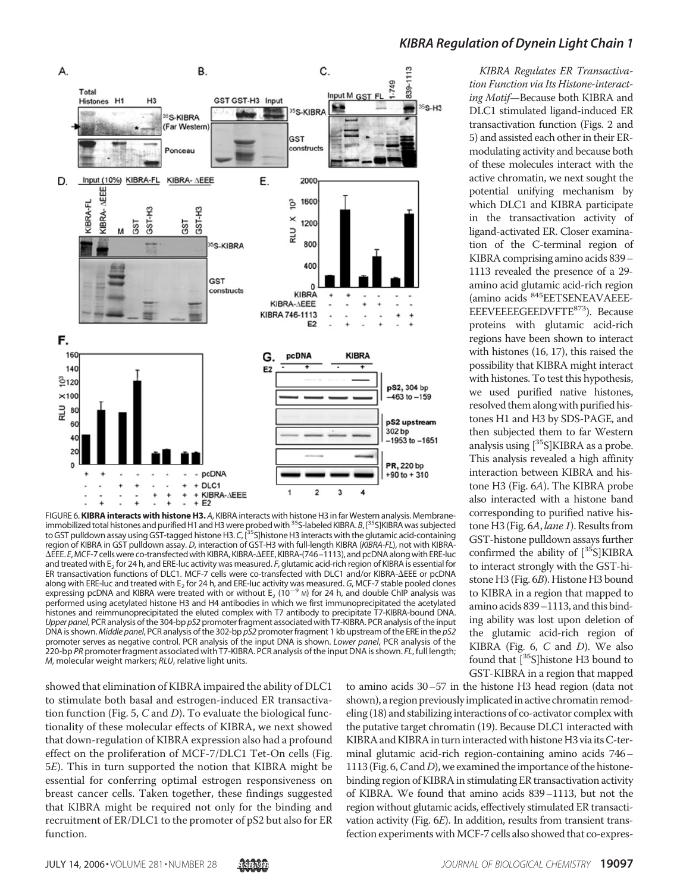

FIGURE 6.**KIBRA interacts with histone H3.** *A*, KIBRA interacts with histone H3 in far Western analysis. Membraneimmobilized total histones and purified H1 and H3 were probed with35S-labeled KIBRA.*B*, [35S]KIBRA was subjected to GST pulldown assay using GST-tagged histone H3. *C*, [35S]histone H3 interacts with the glutamic acid-containing region of KIBRA in GST pulldown assay. *D*, interaction of GST-H3 with full-length KIBRA (*KIBRA-FL*), not with KIBRA- EEE. *E*, MCF-7 cells were co-transfected with KIBRA, KIBRA-EEE, KIBRA-(746–1113), and pcDNA along with ERE-luc and treated with E<sub>2</sub> for 24 h, and ERE-luc activity was measured. *F*, glutamic acid-rich region of KIBRA is essential for ER transactivation functions of DLC1. MCF-7 cells were co-transfected with DLC1 and/or KIBRA-AEEE or pcDNA along with ERE-luc and treated with E<sup>2</sup> for 24 h, and ERE-luc activity was measured. *G*, MCF-7 stable pooled clones expressing pcDNA and KIBRA were treated with or without  $E_2$  (10<sup>-9</sup> M) for 24 h, and double ChIP analysis was performed using acetylated histone H3 and H4 antibodies in which we first immunoprecipitated the acetylated histones and reimmunoprecipitated the eluted complex with T7 antibody to precipitate T7-KIBRA-bound DNA. *Upper panel*, PCR analysis of the 304-bp *pS2* promoter fragment associated with T7-KIBRA. PCR analysis of the input DNA is shown.*Middle panel*, PCR analysis of the 302-bp *pS2* promoter fragment 1 kb upstream of the ERE in the *pS2* promoter serves as negative control. PCR analysis of the input DNA is shown. *Lower panel*, PCR analysis of the 220-bp *PR* promoter fragment associated with T7-KIBRA. PCR analysis of the input DNA is shown. *FL*, full length; *M*, molecular weight markers; *RLU*, relative light units.

showed that elimination of KIBRA impaired the ability of DLC1 to stimulate both basal and estrogen-induced ER transactivation function (Fig. 5,  $C$  and  $D$ ). To evaluate the biological functionality of these molecular effects of KIBRA, we next showed that down-regulation of KIBRA expression also had a profound effect on the proliferation of MCF-7/DLC1 Tet-On cells (Fig. 5E). This in turn supported the notion that KIBRA might be essential for conferring optimal estrogen responsiveness on breast cancer cells. Taken together, these findings suggested that KIBRA might be required not only for the binding and recruitment of ER/DLC1 to the promoter of pS2 but also for ER function.

#### *KIBRA Regulation of Dynein Light Chain 1*

KIBRA Regulates ER Transactivation Function via Its Histone-interacting Motif—Because both KIBRA and DLC1 stimulated ligand-induced ER transactivation function (Figs. 2 and 5) and assisted each other in their ERmodulating activity and because both of these molecules interact with the active chromatin, we next sought the potential unifying mechanism by which DLC1 and KIBRA participate in the transactivation activity of ligand-activated ER. Closer examination of the C-terminal region of KIBRA comprising amino acids 839– 1113 revealed the presence of a 29 amino acid glutamic acid-rich region (amino acids <sup>845</sup>EETSENEAVAEEE-EEEVEEEEGEEDVFTE873). Because proteins with glutamic acid-rich regions have been shown to interact with histones (16, 17), this raised the possibility that KIBRA might interact with histones. To test this hypothesis, we used purified native histones, resolved them along with purified histones H1 and H3 by SDS-PAGE, and then subjected them to far Western analysis using  $[{}^{35}S]KIBRA$  as a probe. This analysis revealed a high affinity interaction between KIBRA and histone H3 (Fig. 6A). The KIBRA probe also interacted with a histone band corresponding to purified native histone H3 (Fig. 6A, lane 1). Results from GST-histone pulldown assays further confirmed the ability of [35S]KIBRA to interact strongly with the GST-histone H3 (Fig. 6B). Histone H3 bound to KIBRA in a region that mapped to amino acids 839–1113, and this binding ability was lost upon deletion of the glutamic acid-rich region of KIBRA (Fig.  $6$ ,  $C$  and  $D$ ). We also found that  $\left[^{35}S\right]$ histone H3 bound to GST-KIBRA in a region that mapped

to amino acids 30–57 in the histone H3 head region (data not shown), a region previously implicated in active chromatin remodeling (18) and stabilizing interactions of co-activator complex with the putative target chromatin (19). Because DLC1 interacted with KIBRA and KIBRA in turn interacted with histone H3 via its C-terminal glutamic acid-rich region-containing amino acids 746– 1113 (Fig. 6,  $C$  and  $D$ ), we examined the importance of the histonebinding region of KIBRA in stimulating ER transactivation activity of KIBRA. We found that amino acids 839–1113, but not the region without glutamic acids, effectively stimulated ER transactivation activity (Fig. 6E). In addition, results from transient transfection experiments with MCF-7 cells also showed that co-expres-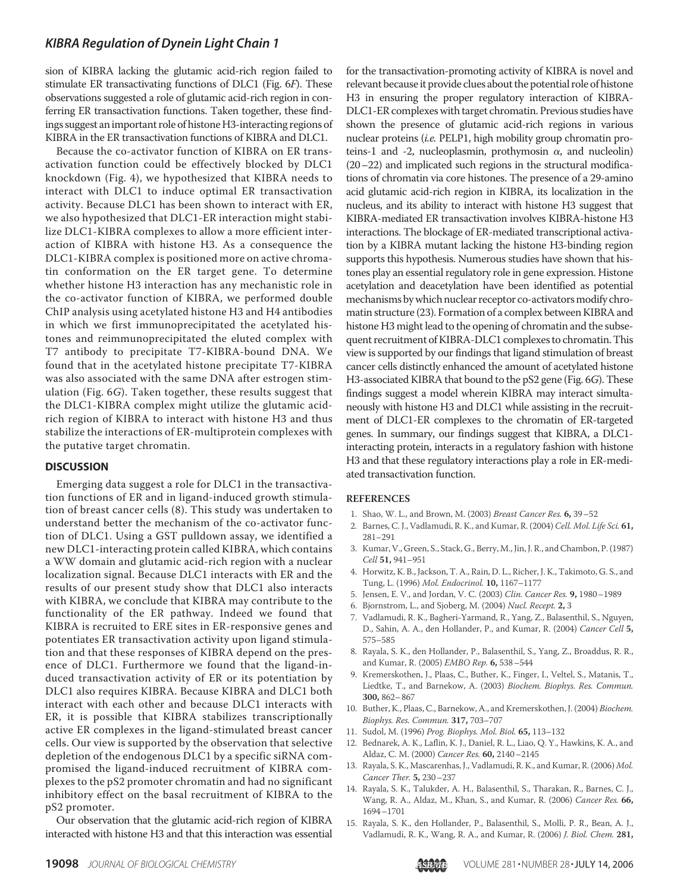## *KIBRA Regulation of Dynein Light Chain 1*

sion of KIBRA lacking the glutamic acid-rich region failed to stimulate ER transactivating functions of DLC1 (Fig. 6F). These observations suggested a role of glutamic acid-rich region in conferring ER transactivation functions. Taken together, these findings suggest an important role of histone H3-interacting regions of KIBRA in the ER transactivation functions of KIBRA and DLC1.

Because the co-activator function of KIBRA on ER transactivation function could be effectively blocked by DLC1 knockdown (Fig. 4), we hypothesized that KIBRA needs to interact with DLC1 to induce optimal ER transactivation activity. Because DLC1 has been shown to interact with ER, we also hypothesized that DLC1-ER interaction might stabilize DLC1-KIBRA complexes to allow a more efficient interaction of KIBRA with histone H3. As a consequence the DLC1-KIBRA complex is positioned more on active chromatin conformation on the ER target gene. To determine whether histone H3 interaction has any mechanistic role in the co-activator function of KIBRA, we performed double ChIP analysis using acetylated histone H3 and H4 antibodies in which we first immunoprecipitated the acetylated histones and reimmunoprecipitated the eluted complex with T7 antibody to precipitate T7-KIBRA-bound DNA. We found that in the acetylated histone precipitate T7-KIBRA was also associated with the same DNA after estrogen stimulation (Fig. 6G). Taken together, these results suggest that the DLC1-KIBRA complex might utilize the glutamic acidrich region of KIBRA to interact with histone H3 and thus stabilize the interactions of ER-multiprotein complexes with the putative target chromatin.

#### **DISCUSSION**

Emerging data suggest a role for DLC1 in the transactivation functions of ER and in ligand-induced growth stimulation of breast cancer cells (8). This study was undertaken to understand better the mechanism of the co-activator function of DLC1. Using a GST pulldown assay, we identified a new DLC1-interacting protein called KIBRA, which contains a WW domain and glutamic acid-rich region with a nuclear localization signal. Because DLC1 interacts with ER and the results of our present study show that DLC1 also interacts with KIBRA, we conclude that KIBRA may contribute to the functionality of the ER pathway. Indeed we found that KIBRA is recruited to ERE sites in ER-responsive genes and potentiates ER transactivation activity upon ligand stimulation and that these responses of KIBRA depend on the presence of DLC1. Furthermore we found that the ligand-induced transactivation activity of ER or its potentiation by DLC1 also requires KIBRA. Because KIBRA and DLC1 both interact with each other and because DLC1 interacts with ER, it is possible that KIBRA stabilizes transcriptionally active ER complexes in the ligand-stimulated breast cancer cells. Our view is supported by the observation that selective depletion of the endogenous DLC1 by a specific siRNA compromised the ligand-induced recruitment of KIBRA complexes to the pS2 promoter chromatin and had no significant inhibitory effect on the basal recruitment of KIBRA to the pS2 promoter.

Our observation that the glutamic acid-rich region of KIBRA interacted with histone H3 and that this interaction was essential

for the transactivation-promoting activity of KIBRA is novel and relevant because it provide clues about the potential role of histone H3 in ensuring the proper regulatory interaction of KIBRA-DLC1-ER complexes with target chromatin. Previous studies have shown the presence of glutamic acid-rich regions in various nuclear proteins (i.e. PELP1, high mobility group chromatin proteins-1 and -2, nucleoplasmin, prothymosin  $\alpha$ , and nucleolin) (20–22) and implicated such regions in the structural modifications of chromatin via core histones. The presence of a 29-amino acid glutamic acid-rich region in KIBRA, its localization in the nucleus, and its ability to interact with histone H3 suggest that KIBRA-mediated ER transactivation involves KIBRA-histone H3 interactions. The blockage of ER-mediated transcriptional activation by a KIBRA mutant lacking the histone H3-binding region supports this hypothesis. Numerous studies have shown that histones play an essential regulatory role in gene expression. Histone acetylation and deacetylation have been identified as potential mechanisms by which nuclear receptor co-activators modify chromatin structure (23). Formation of a complex between KIBRA and histone H3 might lead to the opening of chromatin and the subsequent recruitment of KIBRA-DLC1 complexes to chromatin. This view is supported by our findings that ligand stimulation of breast cancer cells distinctly enhanced the amount of acetylated histone H3-associated KIBRA that bound to the pS2 gene (Fig. 6G). These findings suggest a model wherein KIBRA may interact simultaneously with histone H3 and DLC1 while assisting in the recruitment of DLC1-ER complexes to the chromatin of ER-targeted genes. In summary, our findings suggest that KIBRA, a DLC1 interacting protein, interacts in a regulatory fashion with histone H3 and that these regulatory interactions play a role in ER-mediated transactivation function.

#### **REFERENCES**

- 1. Shao, W. L., and Brown, M. (2003) Breast Cancer Res. **6,** 39–52
- 2. Barnes, C. J., Vadlamudi, R. K., and Kumar, R. (2004) Cell. Mol. Life Sci. **61,** 281–291
- 3. Kumar, V., Green, S., Stack, G., Berry, M., Jin, J. R., and Chambon, P. (1987) Cell **51,** 941–951
- 4. Horwitz, K. B., Jackson, T. A., Rain, D. L., Richer, J. K., Takimoto, G. S., and Tung, L. (1996) Mol. Endocrinol. **10,** 1167–1177
- 5. Jensen, E. V., and Jordan, V. C. (2003) Clin. Cancer Res. **9,** 1980–1989
- 6. Bjornstrom, L., and Sjoberg, M. (2004) Nucl. Recept. **2,** 3
- 7. Vadlamudi, R. K., Bagheri-Yarmand, R., Yang, Z., Balasenthil, S., Nguyen, D., Sahin, A. A., den Hollander, P., and Kumar, R. (2004) Cancer Cell **5,** 575–585
- 8. Rayala, S. K., den Hollander, P., Balasenthil, S., Yang, Z., Broaddus, R. R., and Kumar, R. (2005) EMBO Rep. **6,** 538–544
- 9. Kremerskothen, J., Plaas, C., Buther, K., Finger, I., Veltel, S., Matanis, T., Liedtke, T., and Barnekow, A. (2003) Biochem. Biophys. Res. Commun. **300,** 862–867
- 10. Buther, K., Plaas, C., Barnekow, A., and Kremerskothen, J. (2004) Biochem. Biophys. Res. Commun. **317,** 703–707
- 11. Sudol, M. (1996) Prog. Biophys. Mol. Biol. **65,** 113–132
- 12. Bednarek, A. K., Laflin, K. J., Daniel, R. L., Liao, Q. Y., Hawkins, K. A., and Aldaz, C. M. (2000) Cancer Res. **60,** 2140–2145
- 13. Rayala, S. K., Mascarenhas, J., Vadlamudi, R. K., and Kumar, R. (2006) Mol. Cancer Ther. **5,** 230–237
- 14. Rayala, S. K., Talukder, A. H., Balasenthil, S., Tharakan, R., Barnes, C. J., Wang, R. A., Aldaz, M., Khan, S., and Kumar, R. (2006) Cancer Res. **66,** 1694–1701
- 15. Rayala, S. K., den Hollander, P., Balasenthil, S., Molli, P. R., Bean, A. J., Vadlamudi, R. K., Wang, R. A., and Kumar, R. (2006) J. Biol. Chem. **281,**